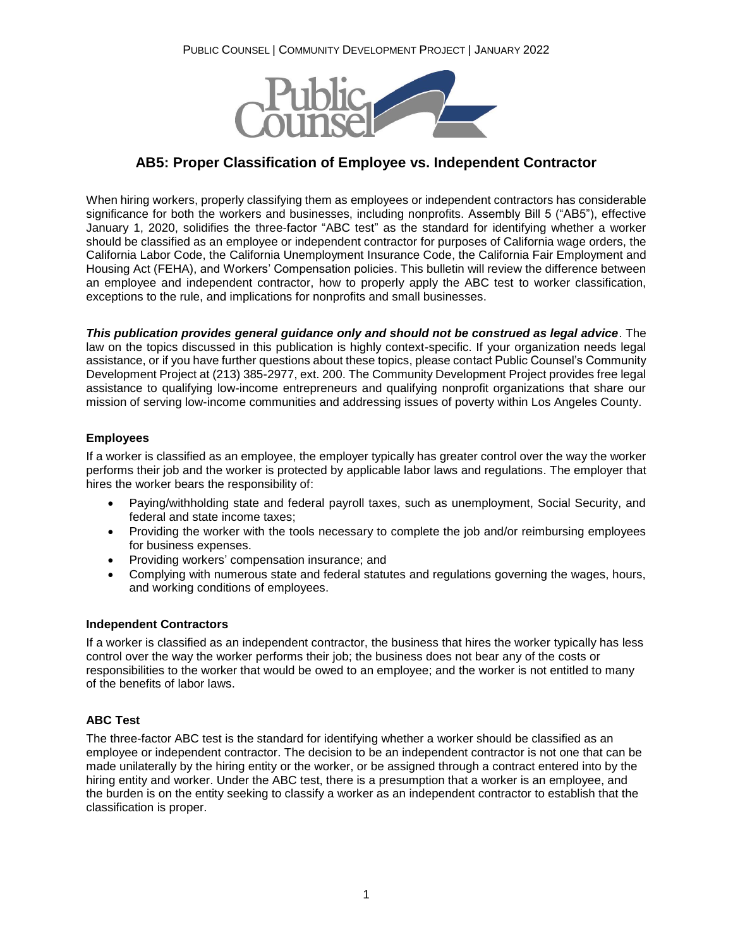

# **AB5: Proper Classification of Employee vs. Independent Contractor**

When hiring workers, properly classifying them as employees or independent contractors has considerable significance for both the workers and businesses, including nonprofits. Assembly Bill 5 ("AB5"), effective January 1, 2020, solidifies the three-factor "ABC test" as the standard for identifying whether a worker should be classified as an employee or independent contractor for purposes of California wage orders, the California Labor Code, the California Unemployment Insurance Code, the California Fair Employment and Housing Act (FEHA), and Workers' Compensation policies. This bulletin will review the difference between an employee and independent contractor, how to properly apply the ABC test to worker classification, exceptions to the rule, and implications for nonprofits and small businesses.

*This publication provides general guidance only and should not be construed as legal advice*. The law on the topics discussed in this publication is highly context-specific. If your organization needs legal assistance, or if you have further questions about these topics, please contact Public Counsel's Community Development Project at (213) 385-2977, ext. 200. The Community Development Project provides free legal assistance to qualifying low-income entrepreneurs and qualifying nonprofit organizations that share our mission of serving low-income communities and addressing issues of poverty within Los Angeles County.

## **Employees**

If a worker is classified as an employee, the employer typically has greater control over the way the worker performs their job and the worker is protected by applicable labor laws and regulations. The employer that hires the worker bears the responsibility of:

- Paying/withholding state and federal payroll taxes, such as unemployment, Social Security, and federal and state income taxes;
- Providing the worker with the tools necessary to complete the job and/or reimbursing employees for business expenses.
- Providing workers' compensation insurance; and
- Complying with numerous state and federal statutes and regulations governing the wages, hours, and working conditions of employees.

## **Independent Contractors**

If a worker is classified as an independent contractor, the business that hires the worker typically has less control over the way the worker performs their job; the business does not bear any of the costs or responsibilities to the worker that would be owed to an employee; and the worker is not entitled to many of the benefits of labor laws.

## **ABC Test**

The three-factor ABC test is the standard for identifying whether a worker should be classified as an employee or independent contractor. The decision to be an independent contractor is not one that can be made unilaterally by the hiring entity or the worker, or be assigned through a contract entered into by the hiring entity and worker. Under the ABC test, there is a presumption that a worker is an employee, and the burden is on the entity seeking to classify a worker as an independent contractor to establish that the classification is proper.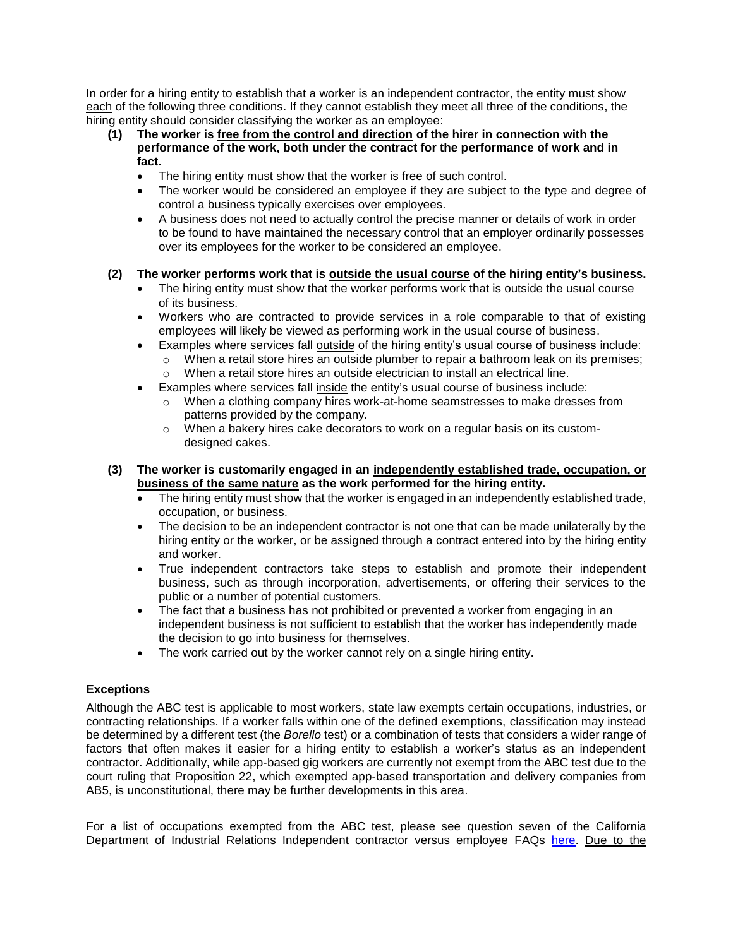In order for a hiring entity to establish that a worker is an independent contractor, the entity must show each of the following three conditions. If they cannot establish they meet all three of the conditions, the hiring entity should consider classifying the worker as an employee:

- **(1) The worker is free from the control and direction of the hirer in connection with the performance of the work, both under the contract for the performance of work and in fact.**
	- The hiring entity must show that the worker is free of such control.
	- The worker would be considered an employee if they are subject to the type and degree of control a business typically exercises over employees.
	- A business does not need to actually control the precise manner or details of work in order to be found to have maintained the necessary control that an employer ordinarily possesses over its employees for the worker to be considered an employee.

# **(2) The worker performs work that is outside the usual course of the hiring entity's business.**

- The hiring entity must show that the worker performs work that is outside the usual course of its business.
- Workers who are contracted to provide services in a role comparable to that of existing employees will likely be viewed as performing work in the usual course of business.
- Examples where services fall outside of the hiring entity's usual course of business include:
	- $\circ$  When a retail store hires an outside plumber to repair a bathroom leak on its premises; o When a retail store hires an outside electrician to install an electrical line.
- Examples where services fall inside the entity's usual course of business include:
	- o When a clothing company hires work-at-home seamstresses to make dresses from patterns provided by the company.
	- $\circ$  When a bakery hires cake decorators to work on a regular basis on its customdesigned cakes.
- **(3) The worker is customarily engaged in an independently established trade, occupation, or business of the same nature as the work performed for the hiring entity.**
	- The hiring entity must show that the worker is engaged in an independently established trade, occupation, or business.
	- The decision to be an independent contractor is not one that can be made unilaterally by the hiring entity or the worker, or be assigned through a contract entered into by the hiring entity and worker.
	- True independent contractors take steps to establish and promote their independent business, such as through incorporation, advertisements, or offering their services to the public or a number of potential customers.
	- The fact that a business has not prohibited or prevented a worker from engaging in an independent business is not sufficient to establish that the worker has independently made the decision to go into business for themselves.
	- The work carried out by the worker cannot rely on a single hiring entity.

# **Exceptions**

Although the ABC test is applicable to most workers, state law exempts certain occupations, industries, or contracting relationships. If a worker falls within one of the defined exemptions, classification may instead be determined by a different test (the *Borello* test) or a combination of tests that considers a wider range of factors that often makes it easier for a hiring entity to establish a worker's status as an independent contractor. Additionally, while app-based gig workers are currently not exempt from the ABC test due to the court ruling that Proposition 22, which exempted app-based transportation and delivery companies from AB5, is unconstitutional, there may be further developments in this area.

For a list of occupations exempted from the ABC test, please see question seven of the California Department of Industrial Relations Independent contractor versus employee FAQs [here.](https://www.dir.ca.gov/dlse/faq_independentcontractor.htm) Due to the